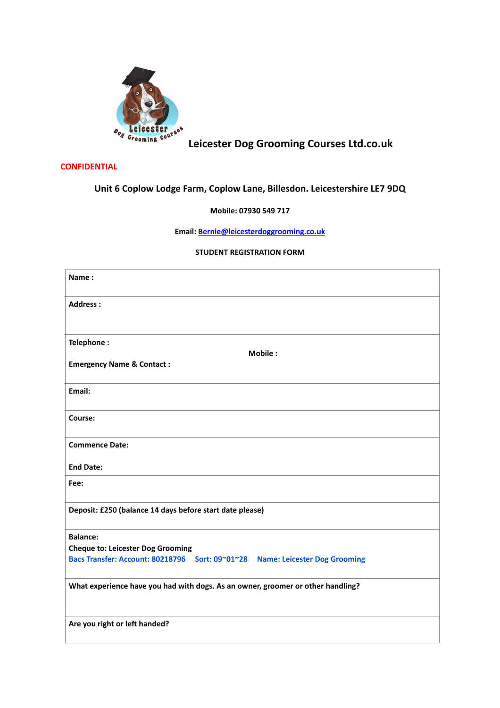

# **Leicester Dog Grooming Courses Ltd.co.uk**

### **CONFIDENTIAL**

## **Unit 6 Coplow Lodge Farm, Coplow Lane, Billesdon. Leicestershire LE7 9DQ**

## **Mobile: 07930 549 717**

**Email: [Bernie@leicesterdoggrooming.co.uk](mailto:Bernie@leicesterdoggrooming.co.uk)**

#### **STUDENT REGISTRATION FORM**

| Name:                                                                           |
|---------------------------------------------------------------------------------|
| <b>Address:</b>                                                                 |
| Telephone:<br><b>Mobile:</b><br><b>Emergency Name &amp; Contact:</b>            |
| Email:                                                                          |
| Course:                                                                         |
| <b>Commence Date:</b>                                                           |
| <b>End Date:</b>                                                                |
| Fee:                                                                            |
| Deposit: £250 (balance 14 days before start date please)                        |
| <b>Balance:</b>                                                                 |
| <b>Cheque to: Leicester Dog Grooming</b>                                        |
| Bacs Transfer: Account: 80218796 Sort: 09~01~28 Name: Leicester Dog Grooming    |
| What experience have you had with dogs. As an owner, groomer or other handling? |
| Are you right or left handed?                                                   |